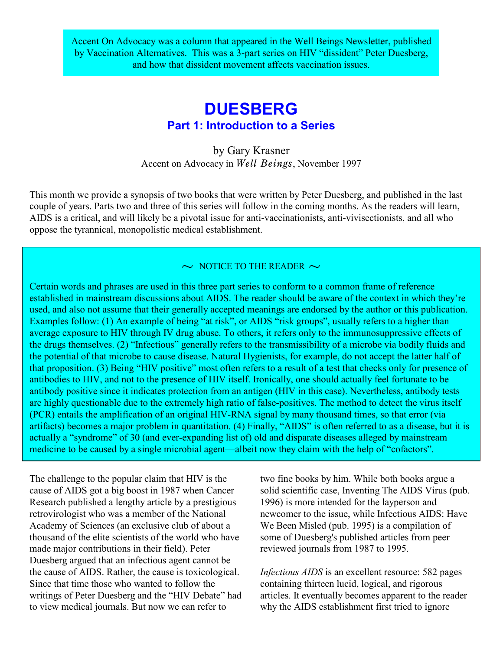Accent On Advocacy was a column that appeared in the Well Beings Newsletter, published by Vaccination Alternatives. This was a 3-part series on HIV "dissident" Peter Duesberg, and how that dissident movement affects vaccination issues.

## **DUESBERG Part 1: Introduction to a Series**

by Gary Krasner Accent on Advocacy in *Well Beings*, November 1997

This month we provide a synopsis of two books that were written by Peter Duesberg, and published in the last couple of years. Parts two and three of this series will follow in the coming months. As the readers will learn, AIDS is a critical, and will likely be a pivotal issue for anti-vaccinationists, anti-vivisectionists, and all who oppose the tyrannical, monopolistic medical establishment.

 $\sim$  NOTICE TO THE READER  $\sim$ 

Certain words and phrases are used in this three part series to conform to a common frame of reference established in mainstream discussions about AIDS. The reader should be aware of the context in which they're used, and also not assume that their generally accepted meanings are endorsed by the author or this publication. Examples follow: (1) An example of being "at risk", or AIDS "risk groups", usually refers to a higher than average exposure to HIV through IV drug abuse. To others, it refers only to the immunosuppressive effects of the drugs themselves. (2) "Infectious" generally refers to the transmissibility of a microbe via bodily fluids and the potential of that microbe to cause disease. Natural Hygienists, for example, do not accept the latter half of that proposition. (3) Being "HIV positive" most often refers to a result of a test that checks only for presence of antibodies to HIV, and not to the presence of HIV itself. Ironically, one should actually feel fortunate to be antibody positive since it indicates protection from an antigen (HIV in this case). Nevertheless, antibody tests are highly questionable due to the extremely high ratio of false-positives. The method to detect the virus itself (PCR) entails the amplification of an original HIV-RNA signal by many thousand times, so that error (via artifacts) becomes a major problem in quantitation. (4) Finally, "AIDS" is often referred to as a disease, but it is actually a "syndrome" of 30 (and ever-expanding list of) old and disparate diseases alleged by mainstream medicine to be caused by a single microbial agent—albeit now they claim with the help of "cofactors".

The challenge to the popular claim that HIV is the cause of AIDS got a big boost in 1987 when Cancer Research published a lengthy article by a prestigious retrovirologist who was a member of the National Academy of Sciences (an exclusive club of about a thousand of the elite scientists of the world who have made major contributions in their field). Peter Duesberg argued that an infectious agent cannot be the cause of AIDS. Rather, the cause is toxicological. Since that time those who wanted to follow the writings of Peter Duesberg and the "HIV Debate" had to view medical journals. But now we can refer to

two fine books by him. While both books argue a solid scientific case, Inventing The AIDS Virus (pub. 1996) is more intended for the layperson and newcomer to the issue, while Infectious AIDS: Have We Been Misled (pub. 1995) is a compilation of some of Duesberg's published articles from peer reviewed journals from 1987 to 1995.

*Infectious AIDS* is an excellent resource: 582 pages containing thirteen lucid, logical, and rigorous articles. It eventually becomes apparent to the reader why the AIDS establishment first tried to ignore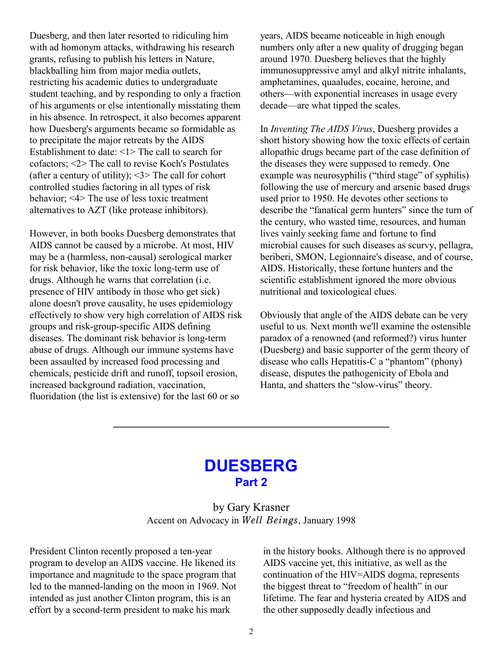Duesberg, and then later resorted to ridiculing him with ad homonym attacks, withdrawing his research grants, refusing to publish his letters in Nature, blackballing him from major media outlets, restricting his academic duties to undergraduate student teaching, and by responding to only a fraction of his arguments or else intentionally misstating them in his absence. In retrospect, it also becomes apparent how Duesberg's arguments became so formidable as to precipitate the major retreats by the AIDS Establishment to date: <1> The call to search for cofactors; <2> The call to revise Koch's Postulates (after a century of utility);  $\leq$  3> The call for cohort controlled studies factoring in all types of risk behavior; <4> The use of less toxic treatment alternatives to AZT (like protease inhibitors).

However, in both books Duesberg demonstrates that AIDS cannot be caused by a microbe. At most, HIV may be a (harmless, non-causal) serological marker for risk behavior, like the toxic long-term use of drugs. Although he warns that correlation (i.e. presence of HIV antibody in those who get sick) alone doesn't prove causality, he uses epidemiology effectively to show very high correlation of AIDS risk groups and risk-group-specific AIDS defining diseases. The dominant risk behavior is long-term abuse of drugs. Although our immune systems have been assaulted by increased food processing and chemicals, pesticide drift and runoff, topsoil erosion, increased background radiation, vaccination, fluoridation (the list is extensive) for the last 60 or so

years, AIDS became noticeable in high enough numbers only after a new quality of drugging began around 1970. Duesberg believes that the highly immunosuppressive amyl and alkyl nitrite inhalants, amphetamines, quaaludes, cocaine, heroine, and others—with exponential increases in usage every decade—are what tipped the scales.

In *Inventing The AIDS Virus*, Duesberg provides a short history showing how the toxic effects of certain allopathic drugs became part of the case definition of the diseases they were supposed to remedy. One example was neurosyphilis ("third stage" of syphilis) following the use of mercury and arsenic based drugs used prior to 1950. He devotes other sections to describe the "fanatical germ hunters" since the turn of the century, who wasted time, resources, and human lives vainly seeking fame and fortune to find microbial causes for such diseases as scurvy, pellagra, beriberi, SMON, Legionnaire's disease, and of course, AIDS. Historically, these fortune hunters and the scientific establishment ignored the more obvious nutritional and toxicological clues.

Obviously that angle of the AIDS debate can be very useful to us. Next month we'll examine the ostensible paradox of a renowned (and reformed?) virus hunter (Duesberg) and basic supporter of the germ theory of disease who calls Hepatitis-C a "phantom" (phony) disease, disputes the pathogenicity of Ebola and Hanta, and shatters the "slow-virus" theory.

## **DUESBERG Part 2**

 $\overline{\phantom{a}}$  , which is a set of the set of the set of the set of the set of the set of the set of the set of the set of the set of the set of the set of the set of the set of the set of the set of the set of the set of th

by Gary Krasner Accent on Advocacy in *Well Beings*, January 1998

President Clinton recently proposed a ten-year program to develop an AIDS vaccine. He likened its importance and magnitude to the space program that led to the manned-landing on the moon in 1969. Not intended as just another Clinton program, this is an effort by a second-term president to make his mark

in the history books. Although there is no approved AIDS vaccine yet, this initiative, as well as the continuation of the HIV=AIDS dogma, represents the biggest threat to "freedom of health" in our lifetime. The fear and hysteria created by AIDS and the other supposedly deadly infectious and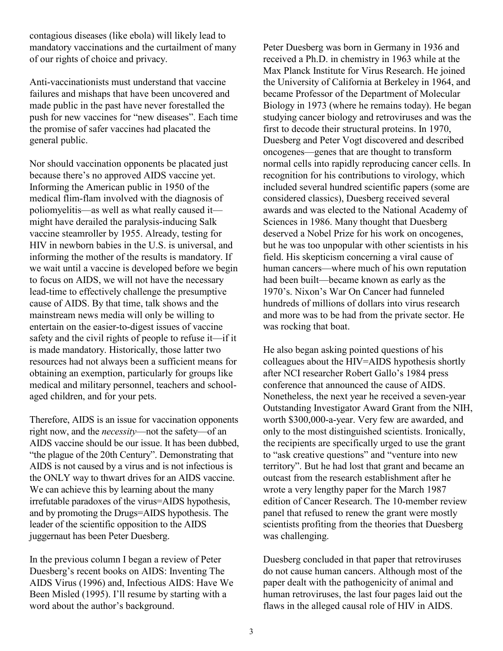contagious diseases (like ebola) will likely lead to mandatory vaccinations and the curtailment of many of our rights of choice and privacy.

Anti-vaccinationists must understand that vaccine failures and mishaps that have been uncovered and made public in the past have never forestalled the push for new vaccines for "new diseases". Each time the promise of safer vaccines had placated the general public.

Nor should vaccination opponents be placated just because there's no approved AIDS vaccine yet. Informing the American public in 1950 of the medical flim-flam involved with the diagnosis of poliomyelitis—as well as what really caused it might have derailed the paralysis-inducing Salk vaccine steamroller by 1955. Already, testing for HIV in newborn babies in the U.S. is universal, and informing the mother of the results is mandatory. If we wait until a vaccine is developed before we begin to focus on AIDS, we will not have the necessary lead-time to effectively challenge the presumptive cause of AIDS. By that time, talk shows and the mainstream news media will only be willing to entertain on the easier-to-digest issues of vaccine safety and the civil rights of people to refuse it—if it is made mandatory. Historically, those latter two resources had not always been a sufficient means for obtaining an exemption, particularly for groups like medical and military personnel, teachers and schoolaged children, and for your pets.

Therefore, AIDS is an issue for vaccination opponents right now, and the *necessity*—not the safety—of an AIDS vaccine should be our issue. It has been dubbed, "the plague of the 20th Century". Demonstrating that AIDS is not caused by a virus and is not infectious is the ONLY way to thwart drives for an AIDS vaccine. We can achieve this by learning about the many irrefutable paradoxes of the virus=AIDS hypothesis, and by promoting the Drugs=AIDS hypothesis. The leader of the scientific opposition to the AIDS juggernaut has been Peter Duesberg.

In the previous column I began a review of Peter Duesberg's recent books on AIDS: Inventing The AIDS Virus (1996) and, Infectious AIDS: Have We Been Misled (1995). I'll resume by starting with a word about the author's background.

Peter Duesberg was born in Germany in 1936 and received a Ph.D. in chemistry in 1963 while at the Max Planck Institute for Virus Research. He joined the University of California at Berkeley in 1964, and became Professor of the Department of Molecular Biology in 1973 (where he remains today). He began studying cancer biology and retroviruses and was the first to decode their structural proteins. In 1970, Duesberg and Peter Vogt discovered and described oncogenes—genes that are thought to transform normal cells into rapidly reproducing cancer cells. In recognition for his contributions to virology, which included several hundred scientific papers (some are considered classics), Duesberg received several awards and was elected to the National Academy of Sciences in 1986. Many thought that Duesberg deserved a Nobel Prize for his work on oncogenes, but he was too unpopular with other scientists in his field. His skepticism concerning a viral cause of human cancers—where much of his own reputation had been built—became known as early as the 1970's. Nixon's War On Cancer had funneled hundreds of millions of dollars into virus research and more was to be had from the private sector. He was rocking that boat.

He also began asking pointed questions of his colleagues about the HIV=AIDS hypothesis shortly after NCI researcher Robert Gallo's 1984 press conference that announced the cause of AIDS. Nonetheless, the next year he received a seven-year Outstanding Investigator Award Grant from the NIH, worth \$300,000-a-year. Very few are awarded, and only to the most distinguished scientists. Ironically, the recipients are specifically urged to use the grant to "ask creative questions" and "venture into new territory". But he had lost that grant and became an outcast from the research establishment after he wrote a very lengthy paper for the March 1987 edition of Cancer Research. The 10-member review panel that refused to renew the grant were mostly scientists profiting from the theories that Duesberg was challenging.

Duesberg concluded in that paper that retroviruses do not cause human cancers. Although most of the paper dealt with the pathogenicity of animal and human retroviruses, the last four pages laid out the flaws in the alleged causal role of HIV in AIDS.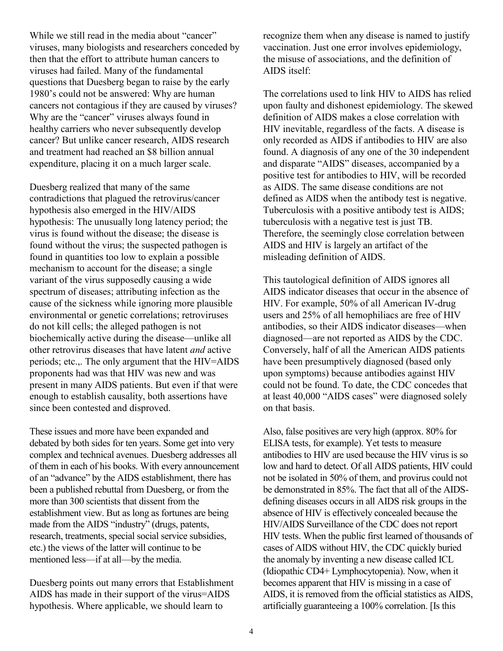While we still read in the media about "cancer" viruses, many biologists and researchers conceded by then that the effort to attribute human cancers to viruses had failed. Many of the fundamental questions that Duesberg began to raise by the early 1980's could not be answered: Why are human cancers not contagious if they are caused by viruses? Why are the "cancer" viruses always found in healthy carriers who never subsequently develop cancer? But unlike cancer research, AIDS research and treatment had reached an \$8 billion annual expenditure, placing it on a much larger scale.

Duesberg realized that many of the same contradictions that plagued the retrovirus/cancer hypothesis also emerged in the HIV/AIDS hypothesis: The unusually long latency period; the virus is found without the disease; the disease is found without the virus; the suspected pathogen is found in quantities too low to explain a possible mechanism to account for the disease; a single variant of the virus supposedly causing a wide spectrum of diseases; attributing infection as the cause of the sickness while ignoring more plausible environmental or genetic correlations; retroviruses do not kill cells; the alleged pathogen is not biochemically active during the disease—unlike all other retrovirus diseases that have latent *and* active periods; etc.,. The only argument that the HIV=AIDS proponents had was that HIV was new and was present in many AIDS patients. But even if that were enough to establish causality, both assertions have since been contested and disproved.

These issues and more have been expanded and debated by both sides for ten years. Some get into very complex and technical avenues. Duesberg addresses all of them in each of his books. With every announcement of an "advance" by the AIDS establishment, there has been a published rebuttal from Duesberg, or from the more than 300 scientists that dissent from the establishment view. But as long as fortunes are being made from the AIDS "industry" (drugs, patents, research, treatments, special social service subsidies, etc.) the views of the latter will continue to be mentioned less—if at all—by the media.

Duesberg points out many errors that Establishment AIDS has made in their support of the virus=AIDS hypothesis. Where applicable, we should learn to

recognize them when any disease is named to justify vaccination. Just one error involves epidemiology, the misuse of associations, and the definition of AIDS itself:

The correlations used to link HIV to AIDS has relied upon faulty and dishonest epidemiology. The skewed definition of AIDS makes a close correlation with HIV inevitable, regardless of the facts. A disease is only recorded as AIDS if antibodies to HIV are also found. A diagnosis of any one of the 30 independent and disparate "AIDS" diseases, accompanied by a positive test for antibodies to HIV, will be recorded as AIDS. The same disease conditions are not defined as AIDS when the antibody test is negative. Tuberculosis with a positive antibody test is AIDS; tuberculosis with a negative test is just TB. Therefore, the seemingly close correlation between AIDS and HIV is largely an artifact of the misleading definition of AIDS.

This tautological definition of AIDS ignores all AIDS indicator diseases that occur in the absence of HIV. For example, 50% of all American IV-drug users and 25% of all hemophiliacs are free of HIV antibodies, so their AIDS indicator diseases—when diagnosed—are not reported as AIDS by the CDC. Conversely, half of all the American AIDS patients have been presumptively diagnosed (based only upon symptoms) because antibodies against HIV could not be found. To date, the CDC concedes that at least 40,000 "AIDS cases" were diagnosed solely on that basis.

Also, false positives are very high (approx. 80% for ELISA tests, for example). Yet tests to measure antibodies to HIV are used because the HIV virus is so low and hard to detect. Of all AIDS patients, HIV could not be isolated in 50% of them, and provirus could not be demonstrated in 85%. The fact that all of the AIDSdefining diseases occurs in all AIDS risk groups in the absence of HIV is effectively concealed because the HIV/AIDS Surveillance of the CDC does not report HIV tests. When the public first learned of thousands of cases of AIDS without HIV, the CDC quickly buried the anomaly by inventing a new disease called ICL (Idiopathic CD4+ Lymphocytopenia). Now, when it becomes apparent that HIV is missing in a case of AIDS, it is removed from the official statistics as AIDS, artificially guaranteeing a 100% correlation. [Is this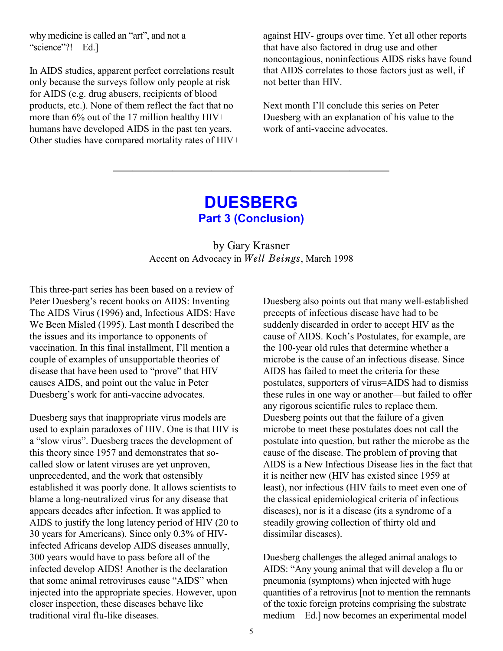why medicine is called an "art", and not a "science"?!—Ed.]

In AIDS studies, apparent perfect correlations result only because the surveys follow only people at risk for AIDS (e.g. drug abusers, recipients of blood products, etc.). None of them reflect the fact that no more than 6% out of the 17 million healthy HIV+ humans have developed AIDS in the past ten years. Other studies have compared mortality rates of HIV+ against HIV- groups over time. Yet all other reports that have also factored in drug use and other noncontagious, noninfectious AIDS risks have found that AIDS correlates to those factors just as well, if not better than HIV.

Next month I'll conclude this series on Peter Duesberg with an explanation of his value to the work of anti-vaccine advocates.

## **DUESBERG Part 3 (Conclusion)**

 $\overline{\phantom{a}}$  , which is a set of the set of the set of the set of the set of the set of the set of the set of the set of the set of the set of the set of the set of the set of the set of the set of the set of the set of th

## by Gary Krasner Accent on Advocacy in *Well Beings*, March 1998

This three-part series has been based on a review of Peter Duesberg's recent books on AIDS: Inventing The AIDS Virus (1996) and, Infectious AIDS: Have We Been Misled (1995). Last month I described the the issues and its importance to opponents of vaccination. In this final installment, I'll mention a couple of examples of unsupportable theories of disease that have been used to "prove" that HIV causes AIDS, and point out the value in Peter Duesberg's work for anti-vaccine advocates.

Duesberg says that inappropriate virus models are used to explain paradoxes of HIV. One is that HIV is a "slow virus". Duesberg traces the development of this theory since 1957 and demonstrates that socalled slow or latent viruses are yet unproven, unprecedented, and the work that ostensibly established it was poorly done. It allows scientists to blame a long-neutralized virus for any disease that appears decades after infection. It was applied to AIDS to justify the long latency period of HIV (20 to 30 years for Americans). Since only 0.3% of HIVinfected Africans develop AIDS diseases annually, 300 years would have to pass before all of the infected develop AIDS! Another is the declaration that some animal retroviruses cause "AIDS" when injected into the appropriate species. However, upon closer inspection, these diseases behave like traditional viral flu-like diseases.

Duesberg also points out that many well-established precepts of infectious disease have had to be suddenly discarded in order to accept HIV as the cause of AIDS. Koch's Postulates, for example, are the 100-year old rules that determine whether a microbe is the cause of an infectious disease. Since AIDS has failed to meet the criteria for these postulates, supporters of virus=AIDS had to dismiss these rules in one way or another—but failed to offer any rigorous scientific rules to replace them. Duesberg points out that the failure of a given microbe to meet these postulates does not call the postulate into question, but rather the microbe as the cause of the disease. The problem of proving that AIDS is a New Infectious Disease lies in the fact that it is neither new (HIV has existed since 1959 at least), nor infectious (HIV fails to meet even one of the classical epidemiological criteria of infectious diseases), nor is it a disease (its a syndrome of a steadily growing collection of thirty old and dissimilar diseases).

Duesberg challenges the alleged animal analogs to AIDS: "Any young animal that will develop a flu or pneumonia (symptoms) when injected with huge quantities of a retrovirus [not to mention the remnants of the toxic foreign proteins comprising the substrate medium—Ed.] now becomes an experimental model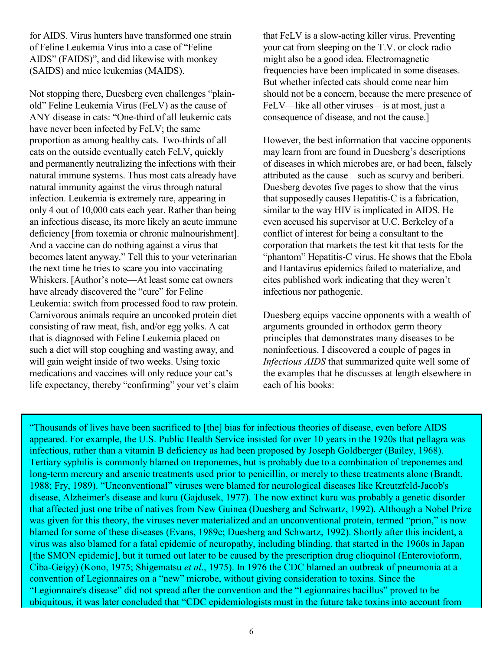for AIDS. Virus hunters have transformed one strain of Feline Leukemia Virus into a case of "Feline AIDS" (FAIDS)", and did likewise with monkey (SAIDS) and mice leukemias (MAIDS).

Not stopping there, Duesberg even challenges "plainold" Feline Leukemia Virus (FeLV) as the cause of ANY disease in cats: "One-third of all leukemic cats have never been infected by FeLV; the same proportion as among healthy cats. Two-thirds of all cats on the outside eventually catch FeLV, quickly and permanently neutralizing the infections with their natural immune systems. Thus most cats already have natural immunity against the virus through natural infection. Leukemia is extremely rare, appearing in only 4 out of 10,000 cats each year. Rather than being an infectious disease, its more likely an acute immune deficiency [from toxemia or chronic malnourishment]. And a vaccine can do nothing against a virus that becomes latent anyway." Tell this to your veterinarian the next time he tries to scare you into vaccinating Whiskers. [Author's note—At least some cat owners have already discovered the "cure" for Feline Leukemia: switch from processed food to raw protein. Carnivorous animals require an uncooked protein diet consisting of raw meat, fish, and/or egg yolks. A cat that is diagnosed with Feline Leukemia placed on such a diet will stop coughing and wasting away, and will gain weight inside of two weeks. Using toxic medications and vaccines will only reduce your cat's life expectancy, thereby "confirming" your vet's claim that FeLV is a slow-acting killer virus. Preventing your cat from sleeping on the T.V. or clock radio might also be a good idea. Electromagnetic frequencies have been implicated in some diseases. But whether infected cats should come near him should not be a concern, because the mere presence of FeLV—like all other viruses—is at most, just a consequence of disease, and not the cause.]

However, the best information that vaccine opponents may learn from are found in Duesberg's descriptions of diseases in which microbes are, or had been, falsely attributed as the cause—such as scurvy and beriberi. Duesberg devotes five pages to show that the virus that supposedly causes Hepatitis-C is a fabrication, similar to the way HIV is implicated in AIDS. He even accused his supervisor at U.C. Berkeley of a conflict of interest for being a consultant to the corporation that markets the test kit that tests for the "phantom" Hepatitis-C virus. He shows that the Ebola and Hantavirus epidemics failed to materialize, and cites published work indicating that they weren't infectious nor pathogenic.

Duesberg equips vaccine opponents with a wealth of arguments grounded in orthodox germ theory principles that demonstrates many diseases to be noninfectious. I discovered a couple of pages in *Infectious AIDS* that summarized quite well some of the examples that he discusses at length elsewhere in each of his books:

"Thousands of lives have been sacrificed to [the] bias for infectious theories of disease, even before AIDS appeared. For example, the U.S. Public Health Service insisted for over 10 years in the 1920s that pellagra was infectious, rather than a vitamin B deficiency as had been proposed by Joseph Goldberger (Bailey, 1968). Tertiary syphilis is commonly blamed on treponemes, but is probably due to a combination of treponemes and long-term mercury and arsenic treatments used prior to penicillin, or merely to these treatments alone (Brandt, 1988; Fry, 1989). "Unconventional" viruses were blamed for neurological diseases like Kreutzfeld-Jacob's disease, Alzheimer's disease and kuru (Gajdusek, 1977). The now extinct kuru was probably a genetic disorder that affected just one tribe of natives from New Guinea (Duesberg and Schwartz, 1992). Although a Nobel Prize was given for this theory, the viruses never materialized and an unconventional protein, termed "prion," is now blamed for some of these diseases (Evans, 1989c; Duesberg and Schwartz, 1992). Shortly after this incident, a virus was also blamed for a fatal epidemic of neuropathy, including blinding, that started in the 1960s in Japan [the SMON epidemic], but it turned out later to be caused by the prescription drug clioquinol (Enterovioform, Ciba-Geigy) (Kono, 1975; Shigematsu *et al*., 1975). In 1976 the CDC blamed an outbreak of pneumonia at a convention of Legionnaires on a "new" microbe, without giving consideration to toxins. Since the "Legionnaire's disease" did not spread after the convention and the "Legionnaires bacillus" proved to be ubiquitous, it was later concluded that "CDC epidemiologists must in the future take toxins into account from